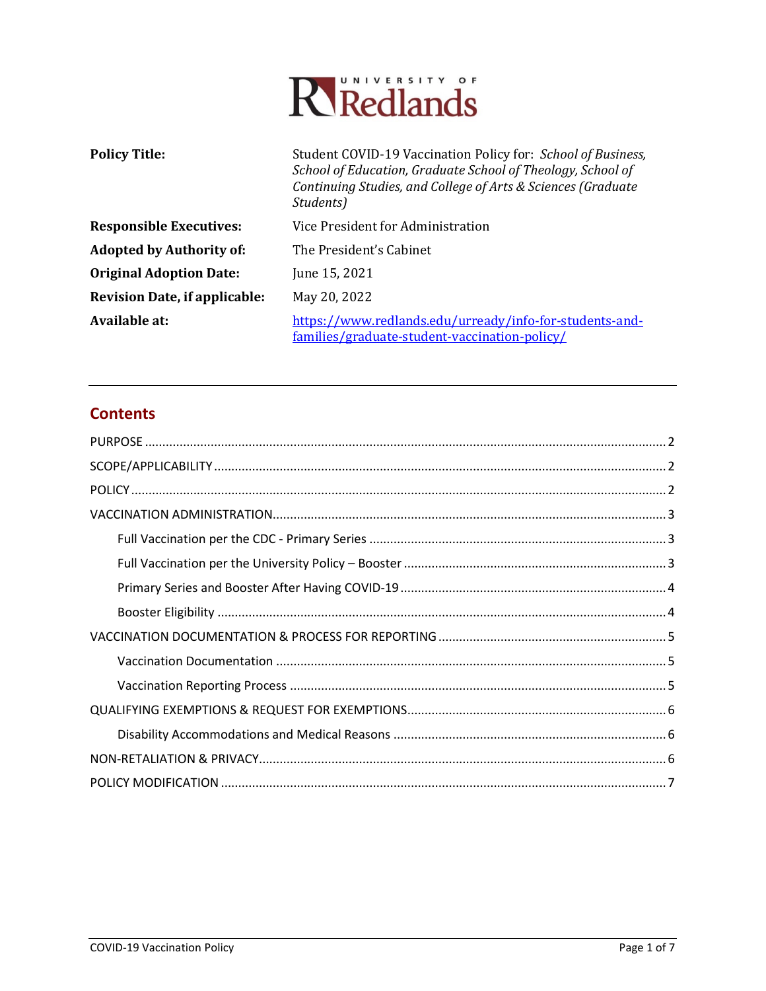

| <b>Policy Title:</b>                 | Student COVID-19 Vaccination Policy for: School of Business,<br>School of Education, Graduate School of Theology, School of<br>Continuing Studies, and College of Arts & Sciences (Graduate<br>Students) |  |
|--------------------------------------|----------------------------------------------------------------------------------------------------------------------------------------------------------------------------------------------------------|--|
| <b>Responsible Executives:</b>       | Vice President for Administration                                                                                                                                                                        |  |
| <b>Adopted by Authority of:</b>      | The President's Cabinet                                                                                                                                                                                  |  |
| <b>Original Adoption Date:</b>       | June 15, 2021                                                                                                                                                                                            |  |
| <b>Revision Date, if applicable:</b> | May 20, 2022                                                                                                                                                                                             |  |
| Available at:                        | https://www.redlands.edu/urready/info-for-students-and-<br>families/graduate-student-vaccination-policy/                                                                                                 |  |

# **Contents**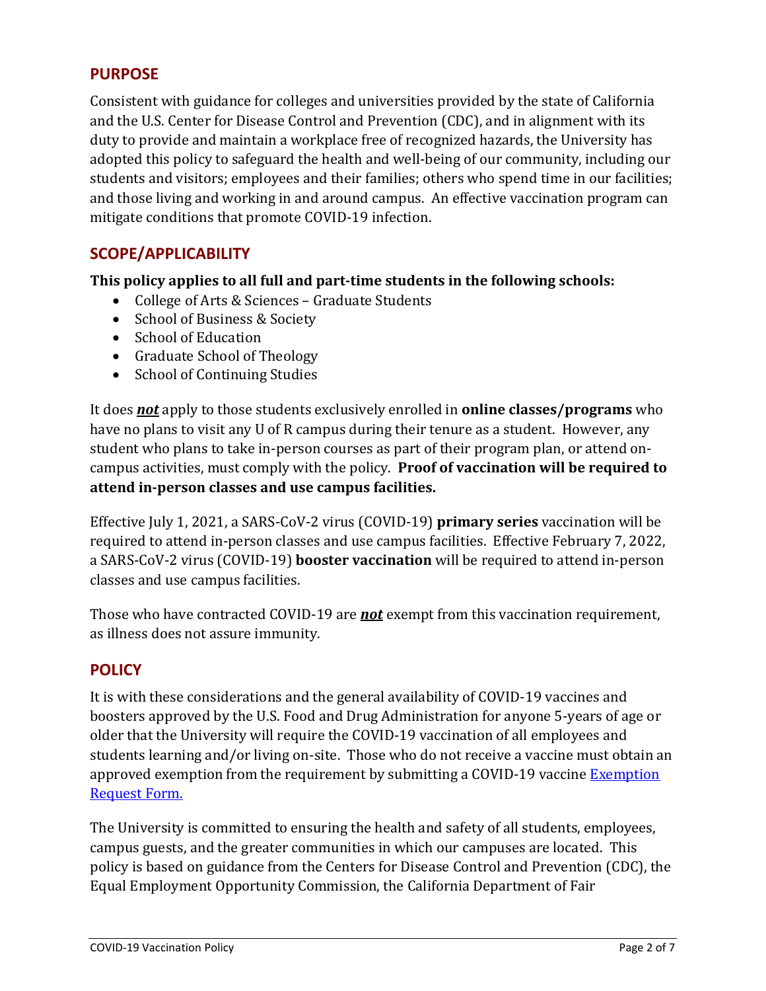## <span id="page-1-0"></span>**PURPOSE**

Consistent with guidance for colleges and universities provided by the state of California and the U.S. Center for Disease Control and Prevention (CDC), and in alignment with its duty to provide and maintain a workplace free of recognized hazards, the University has adopted this policy to safeguard the health and well-being of our community, including our students and visitors; employees and their families; others who spend time in our facilities; and those living and working in and around campus. An effective vaccination program can mitigate conditions that promote COVID-19 infection.

# <span id="page-1-1"></span>**SCOPE/APPLICABILITY**

**This policy applies to all full and part-time students in the following schools:**

- College of Arts & Sciences Graduate Students
- School of Business & Society
- School of Education
- Graduate School of Theology
- School of Continuing Studies

It does *not* apply to those students exclusively enrolled in **online classes/programs** who have no plans to visit any U of R campus during their tenure as a student. However, any student who plans to take in-person courses as part of their program plan, or attend oncampus activities, must comply with the policy. **Proof of vaccination will be required to attend in-person classes and use campus facilities.**

Effective July 1, 2021, a SARS-CoV-2 virus (COVID-19) **primary series** vaccination will be required to attend in-person classes and use campus facilities. Effective February 7, 2022, a SARS-CoV-2 virus (COVID-19) **booster vaccination** will be required to attend in-person classes and use campus facilities.

Those who have contracted COVID-19 are *not* exempt from this vaccination requirement, as illness does not assure immunity.

### <span id="page-1-2"></span>**POLICY**

It is with these considerations and the general availability of COVID-19 vaccines and boosters approved by the U.S. Food and Drug Administration for anyone 5-years of age or older that the University will require the COVID-19 vaccination of all employees and students learning and/or living on-site. Those who do not receive a vaccine must obtain an approved exemption from the requirement by submitting a COVID-19 vaccine **Exemption** [Request Form.](https://etcentral.redlands.edu/#/form/175?header=false&focus=true)

The University is committed to ensuring the health and safety of all students, employees, campus guests, and the greater communities in which our campuses are located. This policy is based on guidance from the Centers for Disease Control and Prevention (CDC), the Equal Employment Opportunity Commission, the California Department of Fair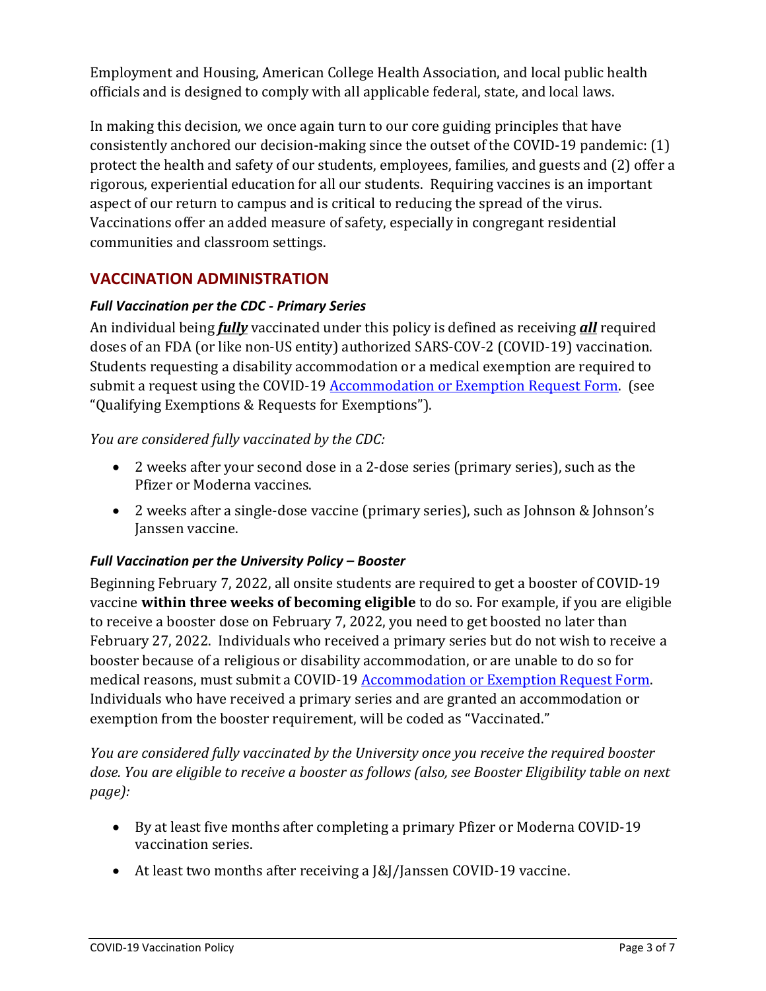Employment and Housing, American College Health Association, and local public health officials and is designed to comply with all applicable federal, state, and local laws.

In making this decision, we once again turn to our core guiding principles that have consistently anchored our decision-making since the outset of the COVID-19 pandemic: (1) protect the health and safety of our students, employees, families, and guests and (2) offer a rigorous, experiential education for all our students. Requiring vaccines is an important aspect of our return to campus and is critical to reducing the spread of the virus. Vaccinations offer an added measure of safety, especially in congregant residential communities and classroom settings.

## <span id="page-2-0"></span>**VACCINATION ADMINISTRATION**

### <span id="page-2-1"></span>*Full Vaccination per the CDC - Primary Series*

An individual being *fully* vaccinated under this policy is defined as receiving *all* required doses of an FDA (or like non-US entity) authorized SARS-COV-2 (COVID-19) vaccination. Students requesting a disability accommodation or a medical exemption are required to submit a request using the COVID-19 **Accommodation or Exemption Request Form.** (see "Qualifying Exemptions & Requests for Exemptions").

*You are considered fully vaccinated by the CDC:*

- 2 weeks after your second dose in a 2-dose series (primary series), such as the Pfizer or Moderna vaccines.
- 2 weeks after a single-dose vaccine (primary series), such as Johnson & Johnson's Janssen vaccine.

### <span id="page-2-2"></span>*Full Vaccination per the University Policy – Booster*

Beginning February 7, 2022, all onsite students are required to get a booster of COVID-19 vaccine **within three weeks of becoming eligible** to do so. For example, if you are eligible to receive a booster dose on February 7, 2022, you need to get boosted no later than February 27, 2022. Individuals who received a primary series but do not wish to receive a booster because of a religious or disability accommodation, or are unable to do so for medical reasons, must submit a COVID-19 [Accommodation or Exemption Request Form.](https://etcentral.redlands.edu/#/form/177?header=false&focus=true) Individuals who have received a primary series and are granted an accommodation or exemption from the booster requirement, will be coded as "Vaccinated."

*You are considered fully vaccinated by the University once you receive the required booster dose. You are eligible to receive a booster as follows (also, see Booster Eligibility table on next page):*

- By at least five months after completing a primary Pfizer or Moderna COVID-19 vaccination series.
- At least two months after receiving a J&J/Janssen COVID-19 vaccine.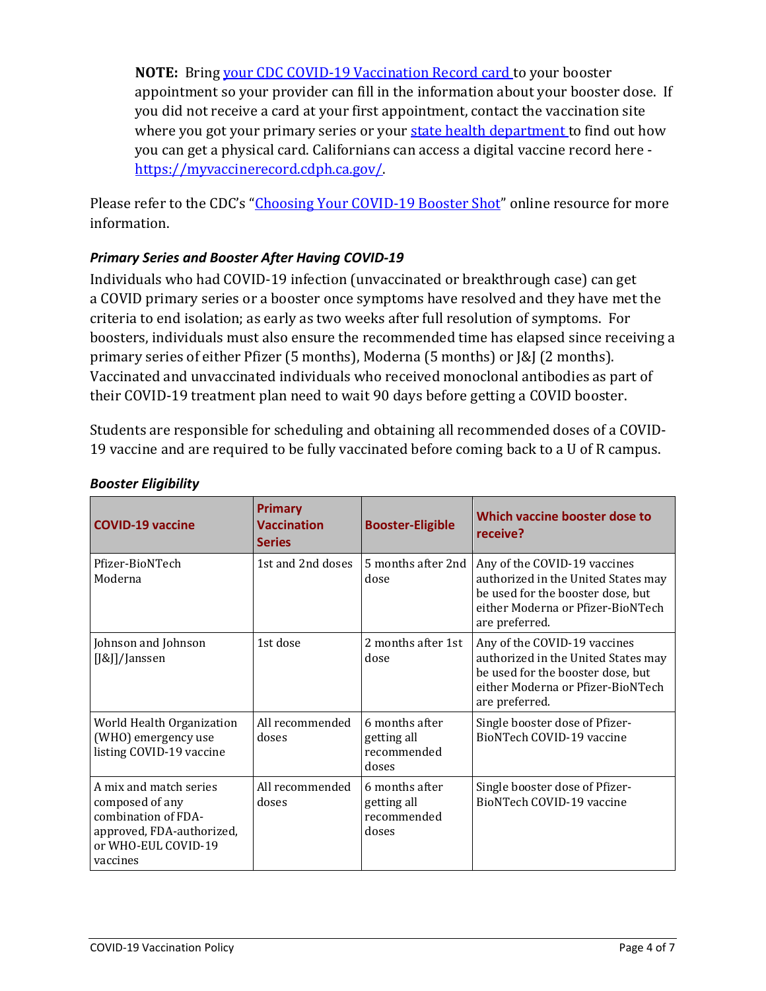**NOTE:** Bring [your CDC COVID-19 Vaccination Record card](https://www.cdc.gov/coronavirus/2019-ncov/vaccines/vaccination-card.html) to your booster appointment so your provider can fill in the information about your booster dose. If you did not receive a card at your first appointment, contact the vaccination site where you got your primary series or your [state health department](https://www.cdc.gov/coronavirus/2019-ncov/php/hd-search/index.html) to find out how you can get a physical card. Californians can access a digital vaccine record here [https://myvaccinerecord.cdph.ca.gov/.](https://myvaccinerecord.cdph.ca.gov/)

Please refer to the CDC's ["Choosing Your COVID-19 Booster Shot"](https://www.cdc.gov/coronavirus/2019-ncov/vaccines/booster-shot.html) online resource for more information.

## <span id="page-3-0"></span>*Primary Series and Booster After Having COVID-19*

Individuals who had COVID-19 infection (unvaccinated or breakthrough case) can get a COVID primary series or a booster once symptoms have resolved and they have met the criteria to end isolation; as early as two weeks after full resolution of symptoms. For boosters, individuals must also ensure the recommended time has elapsed since receiving a primary series of either Pfizer (5 months), Moderna (5 months) or J&J (2 months). Vaccinated and unvaccinated individuals who received monoclonal antibodies as part of their COVID-19 treatment plan need to wait 90 days before getting a COVID booster.

Students are responsible for scheduling and obtaining all recommended doses of a COVID-19 vaccine and are required to be fully vaccinated before coming back to a U of R campus.

| <b>COVID-19 vaccine</b>                                                                                                          | <b>Primary</b><br><b>Vaccination</b><br><b>Series</b> | <b>Booster-Eligible</b>                               | Which vaccine booster dose to<br>receive?                                                                                                                       |
|----------------------------------------------------------------------------------------------------------------------------------|-------------------------------------------------------|-------------------------------------------------------|-----------------------------------------------------------------------------------------------------------------------------------------------------------------|
| Pfizer-BioNTech<br>Moderna                                                                                                       | 1st and 2nd doses                                     | 5 months after 2nd<br>dose                            | Any of the COVID-19 vaccines<br>authorized in the United States may<br>be used for the booster dose, but<br>either Moderna or Pfizer-BioNTech<br>are preferred. |
| Johnson and Johnson<br>[J&J]/Janssen                                                                                             | 1st dose                                              | 2 months after 1st<br>dose                            | Any of the COVID-19 vaccines<br>authorized in the United States may<br>be used for the booster dose, but<br>either Moderna or Pfizer-BioNTech<br>are preferred. |
| World Health Organization<br>(WHO) emergency use<br>listing COVID-19 vaccine                                                     | All recommended<br>doses                              | 6 months after<br>getting all<br>recommended<br>doses | Single booster dose of Pfizer-<br>BioNTech COVID-19 vaccine                                                                                                     |
| A mix and match series<br>composed of any<br>combination of FDA-<br>approved, FDA-authorized,<br>or WHO-EUL COVID-19<br>vaccines | All recommended<br>doses                              | 6 months after<br>getting all<br>recommended<br>doses | Single booster dose of Pfizer-<br>BioNTech COVID-19 vaccine                                                                                                     |

### <span id="page-3-1"></span>*Booster Eligibility*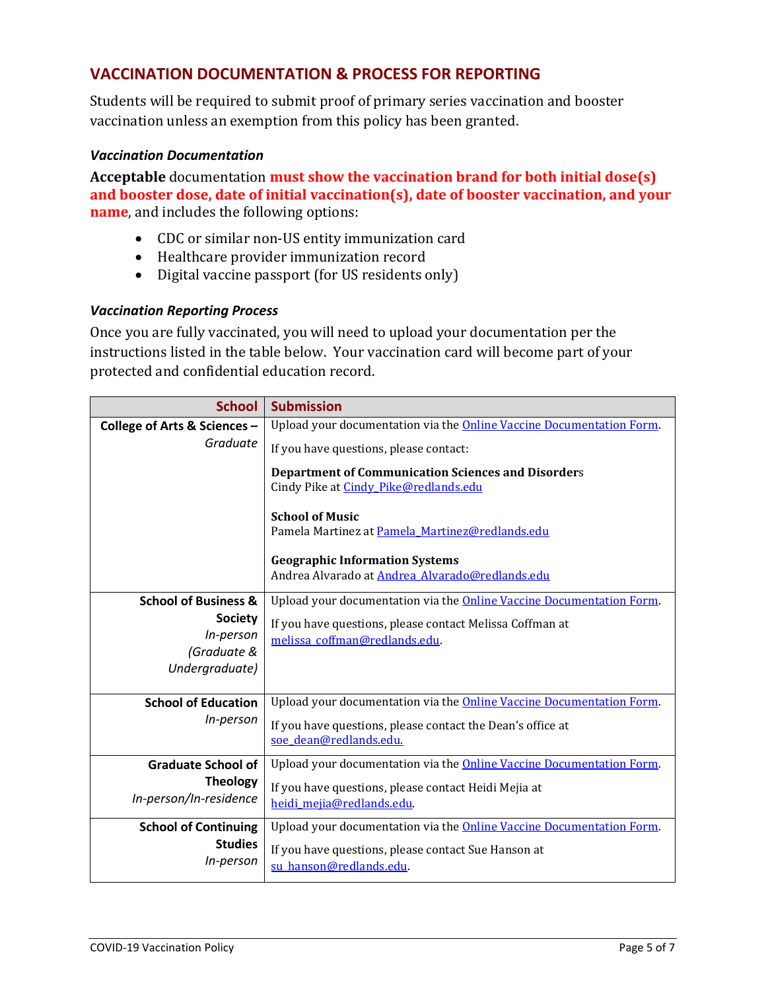## <span id="page-4-0"></span>**VACCINATION DOCUMENTATION & PROCESS FOR REPORTING**

Students will be required to submit proof of primary series vaccination and booster vaccination unless an exemption from this policy has been granted.

#### <span id="page-4-1"></span>*Vaccination Documentation*

**Acceptable** documentation **must show the vaccination brand for both initial dose(s) and booster dose, date of initial vaccination(s), date of booster vaccination, and your name**, and includes the following options:

- CDC or similar non-US entity immunization card
- Healthcare provider immunization record
- Digital vaccine passport (for US residents only)

#### <span id="page-4-2"></span>*Vaccination Reporting Process*

Once you are fully vaccinated, you will need to upload your documentation per the instructions listed in the table below. Your vaccination card will become part of your protected and confidential education record.

| <b>School</b>                   | <b>Submission</b>                                                           |  |  |  |
|---------------------------------|-----------------------------------------------------------------------------|--|--|--|
| College of Arts & Sciences -    | Upload your documentation via the <b>Online Vaccine Documentation Form.</b> |  |  |  |
| Graduate                        | If you have questions, please contact:                                      |  |  |  |
|                                 | <b>Department of Communication Sciences and Disorders</b>                   |  |  |  |
|                                 | Cindy Pike at Cindy Pike@redlands.edu<br><b>School of Music</b>             |  |  |  |
|                                 |                                                                             |  |  |  |
|                                 | Pamela Martinez at Pamela Martinez@redlands.edu                             |  |  |  |
|                                 | <b>Geographic Information Systems</b>                                       |  |  |  |
|                                 | Andrea Alvarado at Andrea Alvarado@redlands.edu                             |  |  |  |
| <b>School of Business &amp;</b> | Upload your documentation via the <b>Online Vaccine Documentation Form.</b> |  |  |  |
| <b>Society</b>                  | If you have questions, please contact Melissa Coffman at                    |  |  |  |
| In-person                       | melissa_coffman@redlands.edu.                                               |  |  |  |
| (Graduate &                     |                                                                             |  |  |  |
| Undergraduate)                  |                                                                             |  |  |  |
| <b>School of Education</b>      | Upload your documentation via the Online Vaccine Documentation Form.        |  |  |  |
| In-person                       | If you have questions, please contact the Dean's office at                  |  |  |  |
|                                 | soe_dean@redlands.edu.                                                      |  |  |  |
| <b>Graduate School of</b>       | Upload your documentation via the Online Vaccine Documentation Form.        |  |  |  |
| <b>Theology</b>                 | If you have questions, please contact Heidi Mejia at                        |  |  |  |
| In-person/In-residence          | heidi_mejia@redlands.edu                                                    |  |  |  |
| <b>School of Continuing</b>     | Upload your documentation via the Online Vaccine Documentation Form.        |  |  |  |
| <b>Studies</b>                  | If you have questions, please contact Sue Hanson at                         |  |  |  |
| In-person                       | su hanson@redlands.edu.                                                     |  |  |  |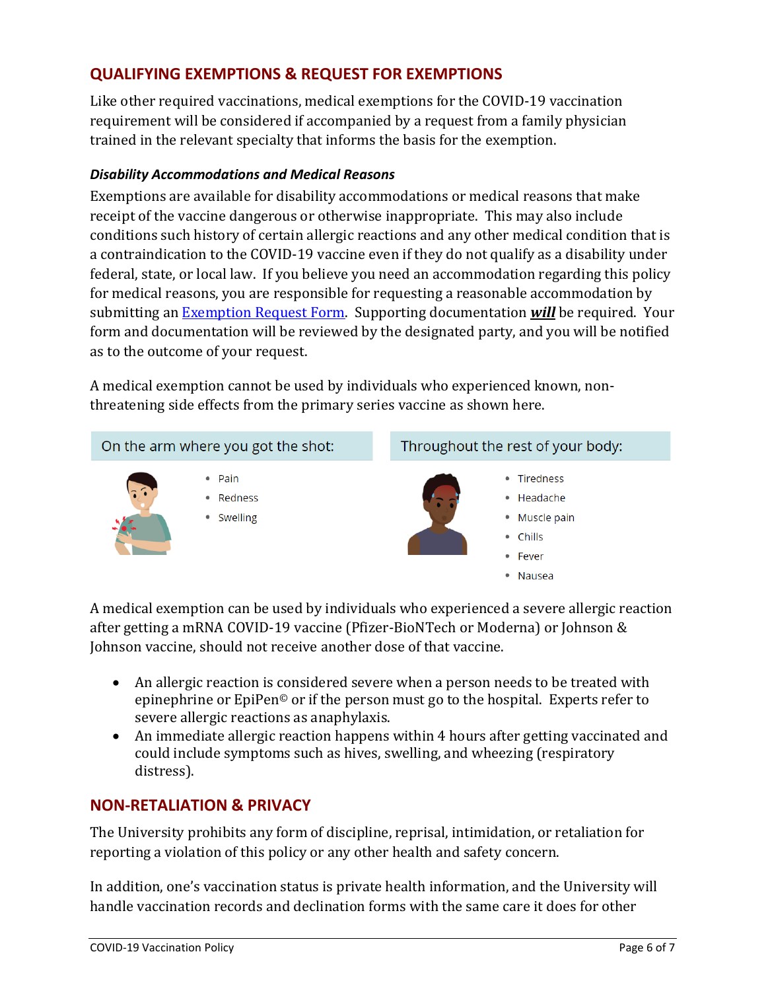# <span id="page-5-0"></span>**QUALIFYING EXEMPTIONS & REQUEST FOR EXEMPTIONS**

Like other required vaccinations, medical exemptions for the COVID-19 vaccination requirement will be considered if accompanied by a request from a family physician trained in the relevant specialty that informs the basis for the exemption.

### <span id="page-5-1"></span>*Disability Accommodations and Medical Reasons*

Exemptions are available for disability accommodations or medical reasons that make receipt of the vaccine dangerous or otherwise inappropriate. This may also include conditions such history of certain allergic reactions and any other medical condition that is a contraindication to the COVID-19 vaccine even if they do not qualify as a disability under federal, state, or local law. If you believe you need an accommodation regarding this policy for medical reasons, you are responsible for requesting a reasonable accommodation by submitting a[n Exemption Request Form.](https://etcentral.redlands.edu/#/form/175?header=false&focus=true) Supporting documentation *will* be required. Your form and documentation will be reviewed by the designated party, and you will be notified as to the outcome of your request.

A medical exemption cannot be used by individuals who experienced known, nonthreatening side effects from the primary series vaccine as shown here.



A medical exemption can be used by individuals who experienced a severe allergic reaction after getting a mRNA COVID-19 vaccine (Pfizer-BioNTech or Moderna) or Johnson & Johnson vaccine, should not receive another dose of that vaccine.

- An allergic reaction is considered severe when a person needs to be treated with epinephrine or EpiPen© or if the person must go to the hospital. Experts refer to severe allergic reactions as anaphylaxis.
- An immediate allergic reaction happens within 4 hours after getting vaccinated and could include symptoms such as hives, swelling, and wheezing (respiratory distress).

### <span id="page-5-2"></span>**NON-RETALIATION & PRIVACY**

The University prohibits any form of discipline, reprisal, intimidation, or retaliation for reporting a violation of this policy or any other health and safety concern.

In addition, one's vaccination status is private health information, and the University will handle vaccination records and declination forms with the same care it does for other